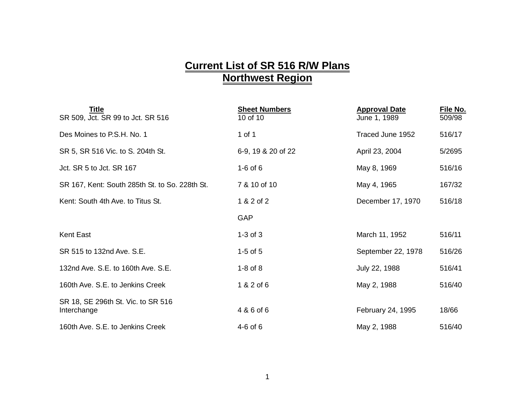## **Current List of SR 516 R/W Plans Northwest Region**

| Title<br>SR 509, Jct. SR 99 to Jct. SR 516        | <b>Sheet Numbers</b><br>10 of 10 | <b>Approval Date</b><br>June 1, 1989 | File No.<br>509/98 |
|---------------------------------------------------|----------------------------------|--------------------------------------|--------------------|
| Des Moines to P.S.H. No. 1                        | 1 of 1                           | Traced June 1952                     | 516/17             |
| SR 5, SR 516 Vic. to S. 204th St.                 | 6-9, 19 & 20 of 22               | April 23, 2004                       | 5/2695             |
| Jct. SR 5 to Jct. SR 167                          | $1-6$ of $6$                     | May 8, 1969                          | 516/16             |
| SR 167, Kent: South 285th St. to So. 228th St.    | 7 & 10 of 10                     | May 4, 1965                          | 167/32             |
| Kent: South 4th Ave. to Titus St.                 | 1 & 2 of 2                       | December 17, 1970                    | 516/18             |
|                                                   | <b>GAP</b>                       |                                      |                    |
| <b>Kent East</b>                                  | $1-3$ of $3$                     | March 11, 1952                       | 516/11             |
| SR 515 to 132nd Ave. S.E.                         | $1-5$ of $5$                     | September 22, 1978                   | 516/26             |
| 132nd Ave. S.E. to 160th Ave. S.E.                | $1-8$ of $8$                     | July 22, 1988                        | 516/41             |
| 160th Ave. S.E. to Jenkins Creek                  | 1 & 2 of 6                       | May 2, 1988                          | 516/40             |
| SR 18, SE 296th St. Vic. to SR 516<br>Interchange | 4 & 6 of 6                       | February 24, 1995                    | 18/66              |
| 160th Ave. S.E. to Jenkins Creek                  | $4-6$ of $6$                     | May 2, 1988                          | 516/40             |